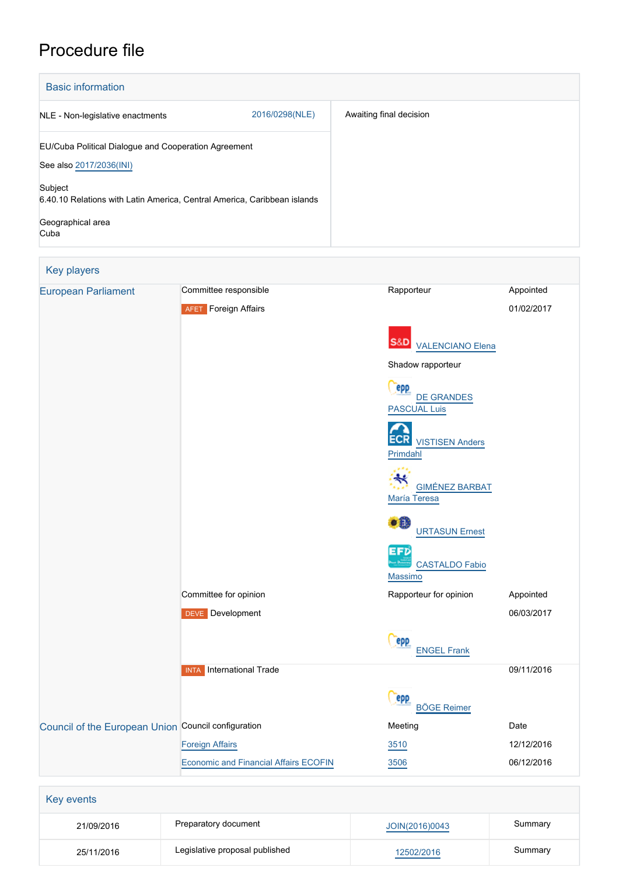# Procedure file

| <b>Basic information</b>                                                 |                |                         |
|--------------------------------------------------------------------------|----------------|-------------------------|
| NLE - Non-legislative enactments                                         | 2016/0298(NLE) | Awaiting final decision |
| EU/Cuba Political Dialogue and Cooperation Agreement                     |                |                         |
| See also 2017/2036(INI)                                                  |                |                         |
| Subject                                                                  |                |                         |
| 6.40.10 Relations with Latin America, Central America, Caribbean islands |                |                         |
| Geographical area<br>Cuba                                                |                |                         |

| Key players                                         |                                              |                                                        |            |
|-----------------------------------------------------|----------------------------------------------|--------------------------------------------------------|------------|
| <b>European Parliament</b>                          | Committee responsible                        | Rapporteur                                             | Appointed  |
|                                                     | <b>AFET</b> Foreign Affairs                  |                                                        | 01/02/2017 |
|                                                     |                                              | S&D<br><b>VALENCIANO Elena</b>                         |            |
|                                                     |                                              | Shadow rapporteur                                      |            |
|                                                     |                                              | <b>epp</b><br><b>DE GRANDES</b><br><b>PASCUAL Luis</b> |            |
|                                                     |                                              | <b>ECR</b> VISTISEN Anders<br>Primdahl                 |            |
|                                                     |                                              | <b>GIMÉNEZ BARBAT</b><br>María Teresa                  |            |
|                                                     |                                              | DE EL<br><b>URTASUN Ernest</b>                         |            |
|                                                     |                                              | EFD<br><b>CASTALDO Fabio</b><br><b>Massimo</b>         |            |
|                                                     | Committee for opinion                        | Rapporteur for opinion                                 | Appointed  |
|                                                     | <b>DEVE</b> Development                      |                                                        | 06/03/2017 |
|                                                     |                                              | epp<br><b>ENGEL Frank</b>                              |            |
|                                                     | <b>INTA</b> International Trade              |                                                        | 09/11/2016 |
|                                                     |                                              | epp<br><b>BÖGE Reimer</b>                              |            |
| Council of the European Union Council configuration |                                              | Meeting                                                | Date       |
|                                                     | <b>Foreign Affairs</b>                       | 3510                                                   | 12/12/2016 |
|                                                     | <b>Economic and Financial Affairs ECOFIN</b> | 3506                                                   | 06/12/2016 |

| 21/09/2016 | Preparatory document           | JOIN(2016)0043 | Summary |
|------------|--------------------------------|----------------|---------|
| 25/11/2016 | Legislative proposal published | 12502/2016     | Summary |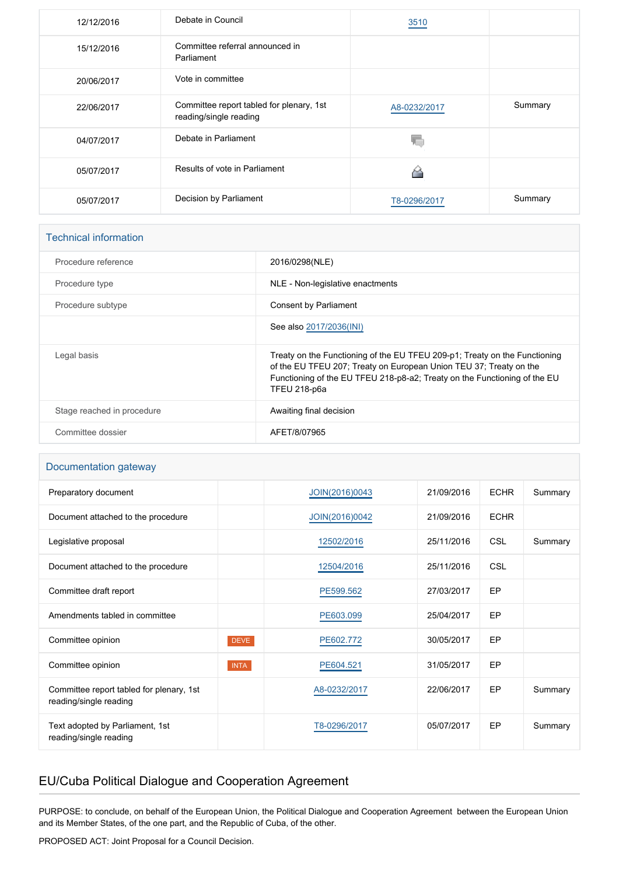| 12/12/2016 | Debate in Council                                                  | 3510         |         |
|------------|--------------------------------------------------------------------|--------------|---------|
| 15/12/2016 | Committee referral announced in<br>Parliament                      |              |         |
| 20/06/2017 | Vote in committee                                                  |              |         |
| 22/06/2017 | Committee report tabled for plenary, 1st<br>reading/single reading | A8-0232/2017 | Summary |
| 04/07/2017 | Debate in Parliament                                               |              |         |
| 05/07/2017 | Results of vote in Parliament                                      |              |         |
| 05/07/2017 | Decision by Parliament                                             | T8-0296/2017 | Summary |

| <b>Technical information</b> |                                                                                                                                                                                                                                               |
|------------------------------|-----------------------------------------------------------------------------------------------------------------------------------------------------------------------------------------------------------------------------------------------|
| Procedure reference          | 2016/0298(NLE)                                                                                                                                                                                                                                |
| Procedure type               | NLE - Non-legislative enactments                                                                                                                                                                                                              |
| Procedure subtype            | <b>Consent by Parliament</b>                                                                                                                                                                                                                  |
|                              | See also 2017/2036(INI)                                                                                                                                                                                                                       |
| Legal basis                  | Treaty on the Functioning of the EU TFEU 209-p1; Treaty on the Functioning<br>of the EU TFEU 207; Treaty on European Union TEU 37; Treaty on the<br>Functioning of the EU TFEU 218-p8-a2; Treaty on the Functioning of the EU<br>TFEU 218-p6a |
| Stage reached in procedure   | Awaiting final decision                                                                                                                                                                                                                       |
| Committee dossier            | AFET/8/07965                                                                                                                                                                                                                                  |

#### Documentation gateway

| Preparatory document                                               |             | JOIN(2016)0043 | 21/09/2016 | <b>ECHR</b> | Summary |
|--------------------------------------------------------------------|-------------|----------------|------------|-------------|---------|
| Document attached to the procedure                                 |             | JOIN(2016)0042 | 21/09/2016 | <b>ECHR</b> |         |
| Legislative proposal                                               |             | 12502/2016     | 25/11/2016 | <b>CSL</b>  | Summary |
| Document attached to the procedure                                 |             | 12504/2016     | 25/11/2016 | <b>CSL</b>  |         |
| Committee draft report                                             |             | PE599.562      | 27/03/2017 | <b>EP</b>   |         |
| Amendments tabled in committee                                     |             | PE603.099      | 25/04/2017 | EP          |         |
| Committee opinion                                                  | <b>DEVE</b> | PE602.772      | 30/05/2017 | <b>EP</b>   |         |
| Committee opinion                                                  | <b>INTA</b> | PE604.521      | 31/05/2017 | EP          |         |
| Committee report tabled for plenary, 1st<br>reading/single reading |             | A8-0232/2017   | 22/06/2017 | EP          | Summary |
| Text adopted by Parliament, 1st<br>reading/single reading          |             | T8-0296/2017   | 05/07/2017 | EP          | Summary |

## EU/Cuba Political Dialogue and Cooperation Agreement

PURPOSE: to conclude, on behalf of the European Union, the Political Dialogue and Cooperation Agreement between the European Union and its Member States, of the one part, and the Republic of Cuba, of the other.

PROPOSED ACT: Joint Proposal for a Council Decision.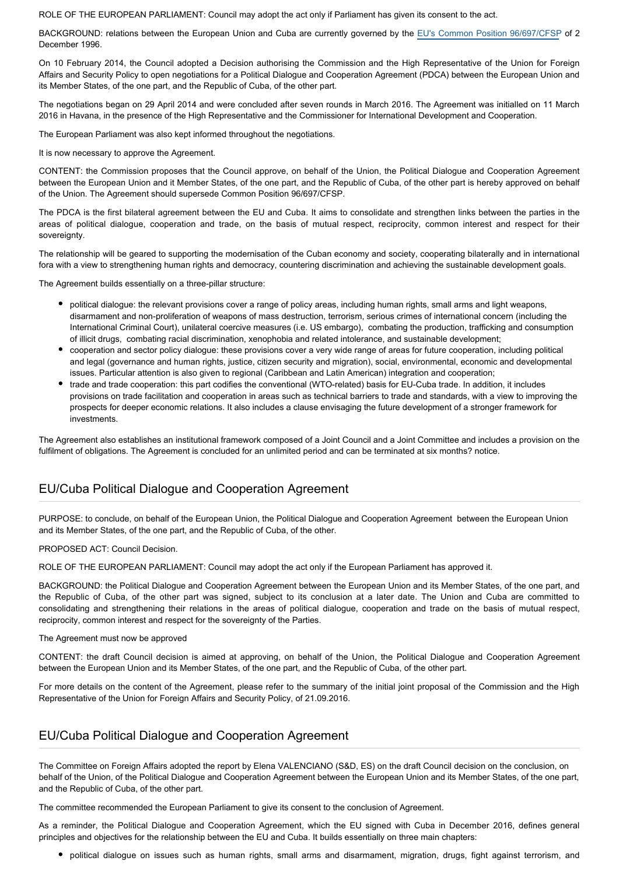ROLE OF THE EUROPEAN PARLIAMENT: Council may adopt the act only if Parliament has given its consent to the act.

BACKGROUND: relations between the European Union and Cuba are currently governed by the [EU's Common Position 96/697/CFSP](http://eur-lex.europa.eu/legal-content/EN/TXT/PDF/?uri=CELEX:31996E0697&from=EN) of 2 December 1996.

On 10 February 2014, the Council adopted a Decision authorising the Commission and the High Representative of the Union for Foreign Affairs and Security Policy to open negotiations for a Political Dialogue and Cooperation Agreement (PDCA) between the European Union and its Member States, of the one part, and the Republic of Cuba, of the other part.

The negotiations began on 29 April 2014 and were concluded after seven rounds in March 2016. The Agreement was initialled on 11 March 2016 in Havana, in the presence of the High Representative and the Commissioner for International Development and Cooperation.

The European Parliament was also kept informed throughout the negotiations.

It is now necessary to approve the Agreement.

CONTENT: the Commission proposes that the Council approve, on behalf of the Union, the Political Dialogue and Cooperation Agreement between the European Union and it Member States, of the one part, and the Republic of Cuba, of the other part is hereby approved on behalf of the Union. The Agreement should supersede Common Position 96/697/CFSP.

The PDCA is the first bilateral agreement between the EU and Cuba. It aims to consolidate and strengthen links between the parties in the areas of political dialogue, cooperation and trade, on the basis of mutual respect, reciprocity, common interest and respect for their sovereignty.

The relationship will be geared to supporting the modernisation of the Cuban economy and society, cooperating bilaterally and in international fora with a view to strengthening human rights and democracy, countering discrimination and achieving the sustainable development goals.

The Agreement builds essentially on a three-pillar structure:

- political dialogue: the relevant provisions cover a range of policy areas, including human rights, small arms and light weapons, disarmament and non-proliferation of weapons of mass destruction, terrorism, serious crimes of international concern (including the International Criminal Court), unilateral coercive measures (i.e. US embargo), combating the production, trafficking and consumption of illicit drugs, combating racial discrimination, xenophobia and related intolerance, and sustainable development;
- cooperation and sector policy dialogue: these provisions cover a very wide range of areas for future cooperation, including political and legal (governance and human rights, justice, citizen security and migration), social, environmental, economic and developmental issues. Particular attention is also given to regional (Caribbean and Latin American) integration and cooperation;
- trade and trade cooperation: this part codifies the conventional (WTO-related) basis for EU-Cuba trade. In addition, it includes provisions on trade facilitation and cooperation in areas such as technical barriers to trade and standards, with a view to improving the prospects for deeper economic relations. It also includes a clause envisaging the future development of a stronger framework for investments.

The Agreement also establishes an institutional framework composed of a Joint Council and a Joint Committee and includes a provision on the fulfilment of obligations. The Agreement is concluded for an unlimited period and can be terminated at six months? notice.

#### EU/Cuba Political Dialogue and Cooperation Agreement

PURPOSE: to conclude, on behalf of the European Union, the Political Dialogue and Cooperation Agreement between the European Union and its Member States, of the one part, and the Republic of Cuba, of the other.

PROPOSED ACT: Council Decision.

ROLE OF THE EUROPEAN PARLIAMENT: Council may adopt the act only if the European Parliament has approved it.

BACKGROUND: the Political Dialogue and Cooperation Agreement between the European Union and its Member States, of the one part, and the Republic of Cuba, of the other part was signed, subject to its conclusion at a later date. The Union and Cuba are committed to consolidating and strengthening their relations in the areas of political dialogue, cooperation and trade on the basis of mutual respect, reciprocity, common interest and respect for the sovereignty of the Parties.

The Agreement must now be approved

CONTENT: the draft Council decision is aimed at approving, on behalf of the Union, the Political Dialogue and Cooperation Agreement between the European Union and its Member States, of the one part, and the Republic of Cuba, of the other part.

For more details on the content of the Agreement, please refer to the summary of the initial joint proposal of the Commission and the High Representative of the Union for Foreign Affairs and Security Policy, of 21.09.2016.

#### EU/Cuba Political Dialogue and Cooperation Agreement

The Committee on Foreign Affairs adopted the report by Elena VALENCIANO (S&D, ES) on the draft Council decision on the conclusion, on behalf of the Union, of the Political Dialogue and Cooperation Agreement between the European Union and its Member States, of the one part, and the Republic of Cuba, of the other part.

The committee recommended the European Parliament to give its consent to the conclusion of Agreement.

As a reminder, the Political Dialogue and Cooperation Agreement, which the EU signed with Cuba in December 2016, defines general principles and objectives for the relationship between the EU and Cuba. It builds essentially on three main chapters:

political dialogue on issues such as human rights, small arms and disarmament, migration, drugs, fight against terrorism, and